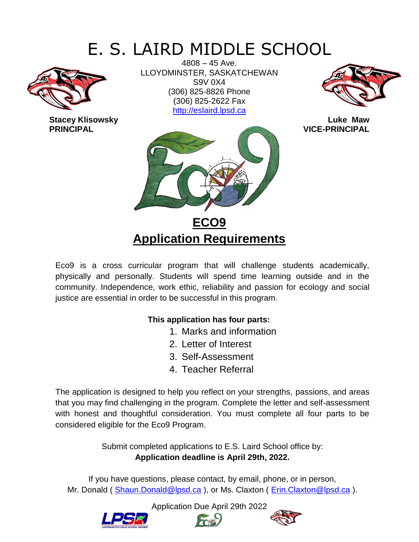# E. S. LAIRD MIDDLE SCHOOL



**Stacey Klisowsky Luke Maw** 

4808 – 45 Ave. LLOYDMINSTER, SASKATCHEWAN S9V 0X4 (306) 825-8826 Phone (306) 825-2622 Fax [http://eslaird.lpsd.ca](http://eslaird.lpsd.ca/)





**Application Requirements**

Eco9 is a cross curricular program that will challenge students academically, physically and personally. Students will spend time learning outside and in the community. Independence, work ethic, reliability and passion for ecology and social justice are essential in order to be successful in this program.

### **This application has four parts:**

- 1. Marks and information
- 2. Letter of Interest
- 3. Self-Assessment
- 4. Teacher Referral

The application is designed to help you reflect on your strengths, passions, and areas that you may find challenging in the program. Complete the letter and self-assessment with honest and thoughtful consideration. You must complete all four parts to be considered eligible for the Eco9 Program.

> Submit completed applications to E.S. Laird School office by: **Application deadline is April 29th, 2022.**

If you have questions, please contact, by email, phone, or in person, Mr. Donald ( [Shaun.Donald@lpsd.ca](mailto:Shaun.Donald@lpsd.ca) ), or Ms. Claxton ( [Erin.Claxton@lpsd.ca](mailto:Erin.Claxton@lpsd.ca) ).





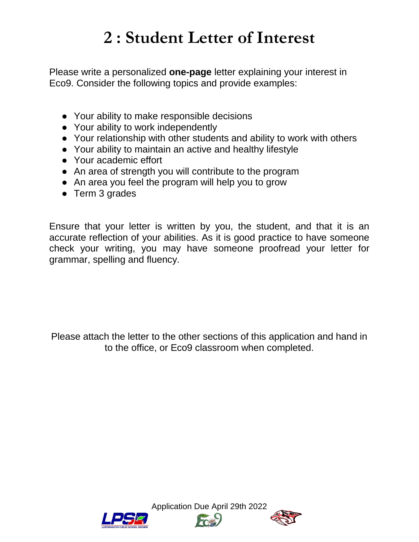# **2 : Student Letter of Interest**

Please write a personalized **one-page** letter explaining your interest in Eco9. Consider the following topics and provide examples:

- Your ability to make responsible decisions
- Your ability to work independently
- Your relationship with other students and ability to work with others
- Your ability to maintain an active and healthy lifestyle
- Your academic effort
- An area of strength you will contribute to the program
- An area you feel the program will help you to grow
- Term 3 grades

Ensure that your letter is written by you, the student, and that it is an accurate reflection of your abilities. As it is good practice to have someone check your writing, you may have someone proofread your letter for grammar, spelling and fluency.

Please attach the letter to the other sections of this application and hand in to the office, or Eco9 classroom when completed.





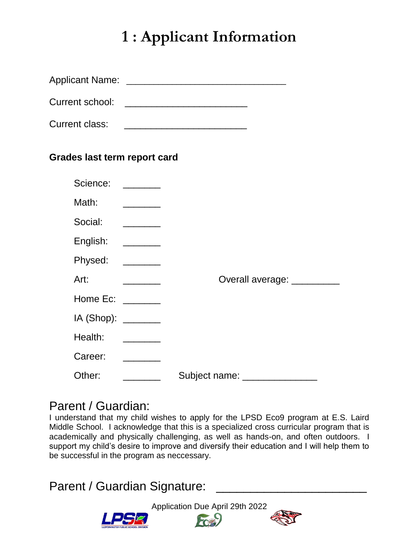# **1 : Applicant Information**

|                                           | Current school: ____________________________                                                                                                                                                                                                                                                                                                                                                                                                                         |
|-------------------------------------------|----------------------------------------------------------------------------------------------------------------------------------------------------------------------------------------------------------------------------------------------------------------------------------------------------------------------------------------------------------------------------------------------------------------------------------------------------------------------|
|                                           |                                                                                                                                                                                                                                                                                                                                                                                                                                                                      |
| <b>Grades last term report card</b>       |                                                                                                                                                                                                                                                                                                                                                                                                                                                                      |
| Science:                                  | $\frac{1}{1-\frac{1}{2}}\left( \frac{1}{\sqrt{2}}\right) \left( \frac{1}{\sqrt{2}}\right) \left( \frac{1}{\sqrt{2}}\right) \left( \frac{1}{\sqrt{2}}\right) \left( \frac{1}{\sqrt{2}}\right) \left( \frac{1}{\sqrt{2}}\right) \left( \frac{1}{\sqrt{2}}\right) \left( \frac{1}{\sqrt{2}}\right) \left( \frac{1}{\sqrt{2}}\right) \left( \frac{1}{\sqrt{2}}\right) \left( \frac{1}{\sqrt{2}}\right) \left( \frac{1}{\sqrt{2}}\right) \left( \frac{1}{\sqrt{2}}\right$ |
| Math:                                     |                                                                                                                                                                                                                                                                                                                                                                                                                                                                      |
| Social:                                   | $\overline{\phantom{a}}$                                                                                                                                                                                                                                                                                                                                                                                                                                             |
| English:                                  | $\begin{tabular}{ccccc} \multicolumn{2}{c }{\textbf{1} & \multicolumn{2}{c }{\textbf{2} & \multicolumn{2}{c }{\textbf{3} & \multicolumn{2}{c }{\textbf{4} & \multicolumn{2}{c }{\textbf{5} & \multicolumn{2}{c }{\textbf{6} & \multicolumn{2}{c }{\textbf{6} & \multicolumn{2}{c }{\textbf{6} & \multicolumn{2}{c }{\textbf{6} & \multicolumn{2}{c }{\textbf{6} & \multicolumn{2}{c }{\textbf{6} & \multicolumn{2}{c }{\textbf{6} & \multicolumn{2}{$                |
| Physed:                                   |                                                                                                                                                                                                                                                                                                                                                                                                                                                                      |
| Art:                                      | Overall average: _________<br>$\overline{\phantom{a}}$                                                                                                                                                                                                                                                                                                                                                                                                               |
| Home Ec: ______                           |                                                                                                                                                                                                                                                                                                                                                                                                                                                                      |
| $IA$ (Shop): $\_\_\_\_\_\_\_\_\_\_\_\_\_$ |                                                                                                                                                                                                                                                                                                                                                                                                                                                                      |
| Health:                                   |                                                                                                                                                                                                                                                                                                                                                                                                                                                                      |
| Career:                                   |                                                                                                                                                                                                                                                                                                                                                                                                                                                                      |
| Other:                                    | Subject name:                                                                                                                                                                                                                                                                                                                                                                                                                                                        |

### Parent / Guardian:

I understand that my child wishes to apply for the LPSD Eco9 program at E.S. Laird Middle School. I acknowledge that this is a specialized cross curricular program that is academically and physically challenging, as well as hands-on, and often outdoors. I support my child's desire to improve and diversify their education and I will help them to be successful in the program as neccessary.

Parent / Guardian Signature:



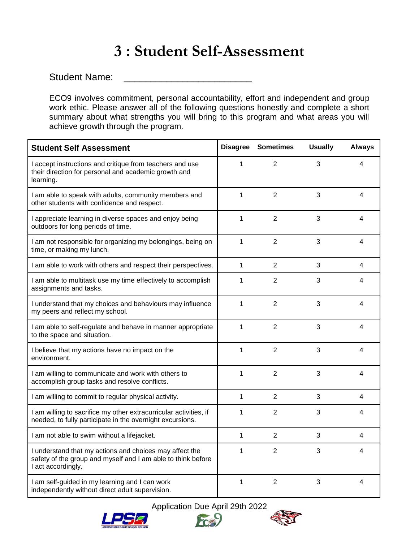## **3 : Student Self-Assessment**

Student Name:

ECO9 involves commitment, personal accountability, effort and independent and group work ethic. Please answer all of the following questions honestly and complete a short summary about what strengths you will bring to this program and what areas you will achieve growth through the program.

| <b>Student Self Assessment</b>                                                                                                                |              | <b>Disagree Sometimes</b> | <b>Usually</b> | <b>Always</b> |
|-----------------------------------------------------------------------------------------------------------------------------------------------|--------------|---------------------------|----------------|---------------|
| I accept instructions and critique from teachers and use<br>their direction for personal and academic growth and<br>learning.                 | $\mathbf{1}$ | $\overline{2}$            | 3              | 4             |
| I am able to speak with adults, community members and<br>other students with confidence and respect.                                          | $\mathbf{1}$ | $\overline{2}$            | 3              | 4             |
| I appreciate learning in diverse spaces and enjoy being<br>outdoors for long periods of time.                                                 | 1            | $\overline{2}$            | 3              | 4             |
| I am not responsible for organizing my belongings, being on<br>time, or making my lunch.                                                      | 1            | $\overline{2}$            | 3              | 4             |
| I am able to work with others and respect their perspectives.                                                                                 | $\mathbf{1}$ | $\overline{2}$            | 3              | 4             |
| I am able to multitask use my time effectively to accomplish<br>assignments and tasks.                                                        | 1            | $\overline{2}$            | 3              | 4             |
| I understand that my choices and behaviours may influence<br>my peers and reflect my school.                                                  | $\mathbf{1}$ | $\overline{2}$            | 3              | 4             |
| I am able to self-regulate and behave in manner appropriate<br>to the space and situation.                                                    | $\mathbf{1}$ | $\overline{2}$            | 3              | 4             |
| I believe that my actions have no impact on the<br>environment.                                                                               | $\mathbf{1}$ | $\overline{2}$            | 3              | 4             |
| I am willing to communicate and work with others to<br>accomplish group tasks and resolve conflicts.                                          | $\mathbf{1}$ | $\overline{2}$            | 3              | 4             |
| I am willing to commit to regular physical activity.                                                                                          | $\mathbf{1}$ | $\overline{2}$            | 3              | 4             |
| I am willing to sacrifice my other extracurricular activities, if<br>needed, to fully participate in the overnight excursions.                | 1            | $\overline{2}$            | 3              | 4             |
| I am not able to swim without a lifejacket.                                                                                                   | $\mathbf{1}$ | $\overline{2}$            | 3              | 4             |
| I understand that my actions and choices may affect the<br>safety of the group and myself and I am able to think before<br>I act accordingly. | 1            | 2                         | 3              | 4             |
| I am self-guided in my learning and I can work<br>independently without direct adult supervision.                                             | 1            | $\overline{2}$            | 3              | 4             |



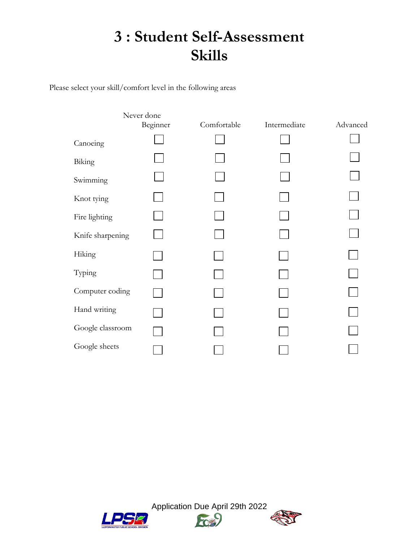## **3 : Student Self-Assessment Skills**

Please select your skill/comfort level in the following areas